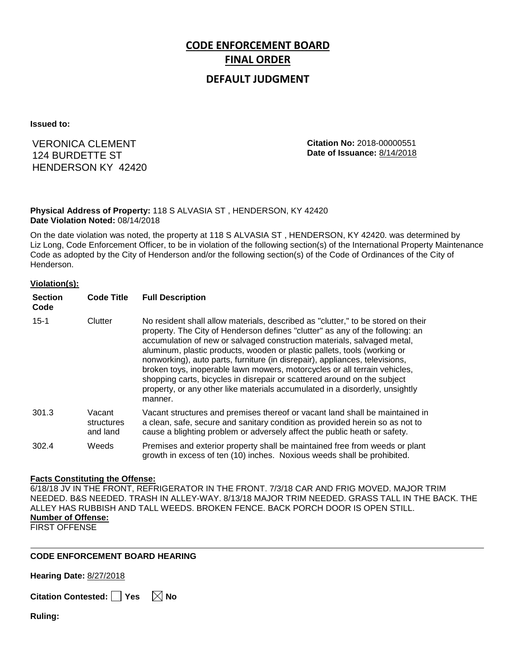# **CODE ENFORCEMENT BOARD FINAL ORDER**

## **DEFAULT JUDGMENT**

**Issued to:**

# VERONICA CLEMENT 124 BURDETTE ST HENDERSON KY 42420

**Citation No:** 2018-00000551 **Date of Issuance:** 8/14/2018

### **Physical Address of Property:** 118 S ALVASIA ST , HENDERSON, KY 42420 **Date Violation Noted:** 08/14/2018

On the date violation was noted, the property at 118 S ALVASIA ST , HENDERSON, KY 42420. was determined by Liz Long, Code Enforcement Officer, to be in violation of the following section(s) of the International Property Maintenance Code as adopted by the City of Henderson and/or the following section(s) of the Code of Ordinances of the City of Henderson.

#### **Violation(s):**

| <b>Section</b><br>Code | <b>Code Title</b>                | <b>Full Description</b>                                                                                                                                                                                                                                                                                                                                                                                                                                                                                                                                                                                                                                     |
|------------------------|----------------------------------|-------------------------------------------------------------------------------------------------------------------------------------------------------------------------------------------------------------------------------------------------------------------------------------------------------------------------------------------------------------------------------------------------------------------------------------------------------------------------------------------------------------------------------------------------------------------------------------------------------------------------------------------------------------|
| $15 - 1$               | Clutter                          | No resident shall allow materials, described as "clutter," to be stored on their<br>property. The City of Henderson defines "clutter" as any of the following: an<br>accumulation of new or salvaged construction materials, salvaged metal,<br>aluminum, plastic products, wooden or plastic pallets, tools (working or<br>nonworking), auto parts, furniture (in disrepair), appliances, televisions,<br>broken toys, inoperable lawn mowers, motorcycles or all terrain vehicles,<br>shopping carts, bicycles in disrepair or scattered around on the subject<br>property, or any other like materials accumulated in a disorderly, unsightly<br>manner. |
| 301.3                  | Vacant<br>structures<br>and land | Vacant structures and premises thereof or vacant land shall be maintained in<br>a clean, safe, secure and sanitary condition as provided herein so as not to<br>cause a blighting problem or adversely affect the public heath or safety.                                                                                                                                                                                                                                                                                                                                                                                                                   |
| 302.4                  | Weeds                            | Premises and exterior property shall be maintained free from weeds or plant<br>growth in excess of ten (10) inches. Noxious weeds shall be prohibited.                                                                                                                                                                                                                                                                                                                                                                                                                                                                                                      |

#### **Facts Constituting the Offense:**

6/18/18 JV IN THE FRONT, REFRIGERATOR IN THE FRONT. 7/3/18 CAR AND FRIG MOVED. MAJOR TRIM NEEDED. B&S NEEDED. TRASH IN ALLEY-WAY. 8/13/18 MAJOR TRIM NEEDED. GRASS TALL IN THE BACK. THE ALLEY HAS RUBBISH AND TALL WEEDS. BROKEN FENCE. BACK PORCH DOOR IS OPEN STILL. **Number of Offense:**

FIRST OFFENSE

## **CODE ENFORCEMENT BOARD HEARING**

**Hearing Date:** 8/27/2018

**Citation Contested:** Yes  $\boxtimes$  No

**Ruling:**